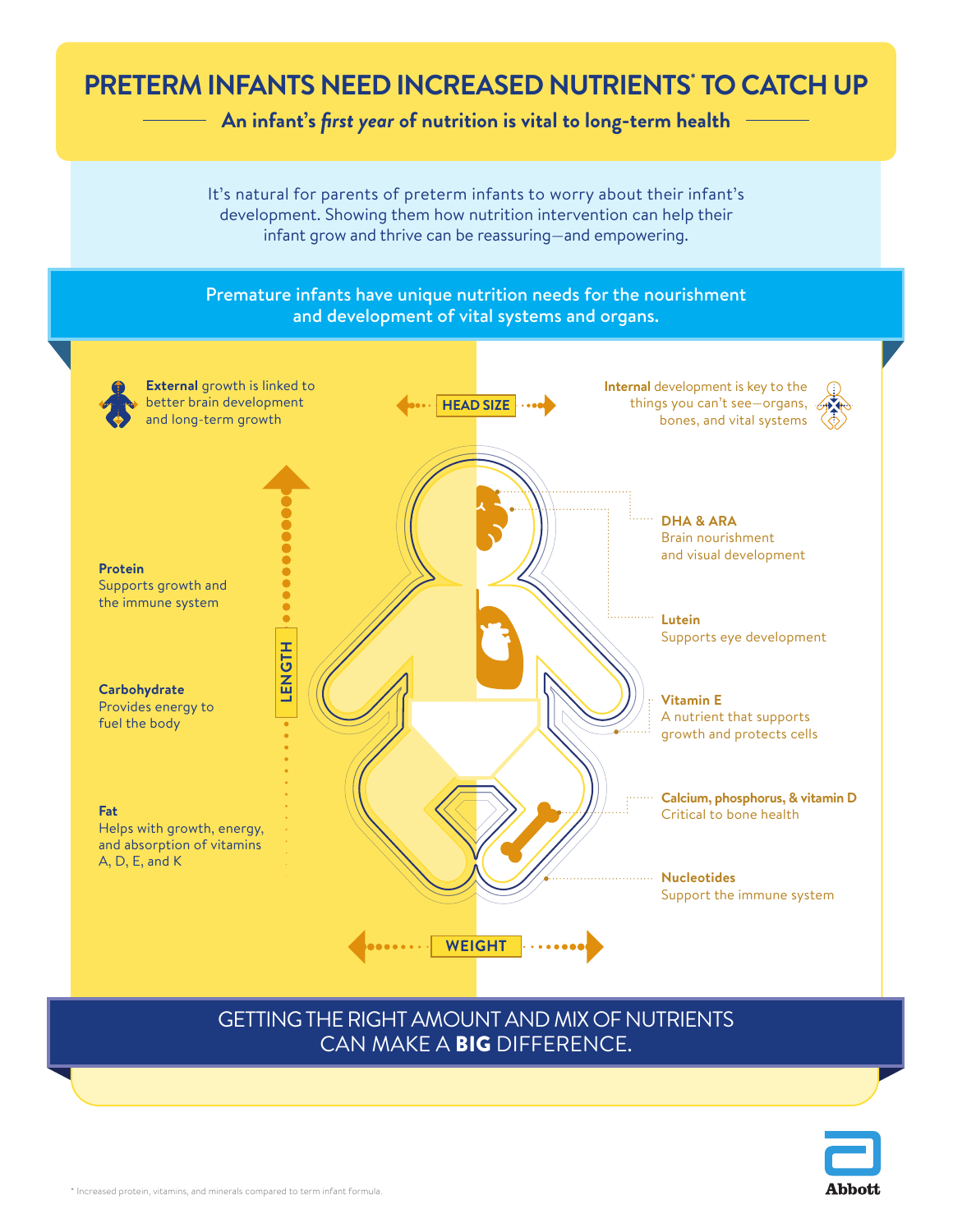## **PRETERM INFANTS NEED INCREASED NUTRIENTS\* TO CATCH UP**

**An infant's** *first year* **of nutrition is vital to long-term health**

It's natural for parents of preterm infants to worry about their infant's development. Showing them how nutrition intervention can help their infant grow and thrive can be reassuring—and empowering.

## Premature infants have unique nutrition needs for the nourishment and development of vital systems and organs.



## GETTING THE RIGHT AMOUNT AND MIX OF NUTRIENTS CAN MAKE A BIG DIFFERENCE.